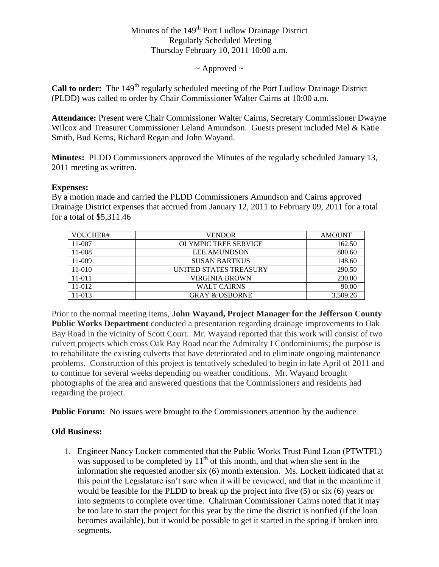# Minutes of the  $149<sup>th</sup>$  Port Ludlow Drainage District Regularly Scheduled Meeting Thursday February 10, 2011 10:00 a.m.

 $\sim$  Approved  $\sim$ 

**Call to order:** The 149<sup>th</sup> regularly scheduled meeting of the Port Ludlow Drainage District (PLDD) was called to order by Chair Commissioner Walter Cairns at 10:00 a.m.

**Attendance:** Present were Chair Commissioner Walter Cairns, Secretary Commissioner Dwayne Wilcox and Treasurer Commissioner Leland Amundson. Guests present included Mel & Katie Smith, Bud Kerns, Richard Regan and John Wayand.

**Minutes:** PLDD Commissioners approved the Minutes of the regularly scheduled January 13, 2011 meeting as written.

#### **Expenses:**

By a motion made and carried the PLDD Commissioners Amundson and Cairns approved Drainage District expenses that accrued from January 12, 2011 to February 09, 2011 for a total for a total of \$5,311.46

| VOUCHER#   | <b>VENDOR</b>               | <b>AMOUNT</b> |
|------------|-----------------------------|---------------|
| 11-007     | <b>OLYMPIC TREE SERVICE</b> | 162.50        |
| 11-008     | <b>LEE AMUNDSON</b>         | 880.60        |
| 11-009     | <b>SUSAN BARTKUS</b>        | 148.60        |
| 11-010     | UNITED STATES TREASURY      | 290.50        |
| $11 - 011$ | VIRGINIA BROWN              | 230.00        |
| 11-012     | <b>WALT CAIRNS</b>          | 90.00         |
| 11-013     | <b>GRAY &amp; OSBORNE</b>   | 3,509.26      |

Prior to the normal meeting items, **John Wayand, Project Manager for the Jefferson County Public Works Department** conducted a presentation regarding drainage improvements to Oak Bay Road in the vicinity of Scott Court. Mr. Wayand reported that this work will consist of two culvert projects which cross Oak Bay Road near the Admiralty I Condominiums; the purpose is to rehabilitate the existing culverts that have deteriorated and to eliminate ongoing maintenance problems. Construction of this project is tentatively scheduled to begin in late April of 2011 and to continue for several weeks depending on weather conditions. Mr. Wayand brought photographs of the area and answered questions that the Commissioners and residents had regarding the project.

**Public Forum:** No issues were brought to the Commissioners attention by the audience

### **Old Business:**

1. Engineer Nancy Lockett commented that the Public Works Trust Fund Loan (PTWTFL) was supposed to be completed by  $11<sup>th</sup>$  of this month, and that when she sent in the information she requested another six (6) month extension. Ms. Lockett indicated that at this point the Legislature isn't sure when it will be reviewed, and that in the meantime it would be feasible for the PLDD to break up the project into five (5) or six (6) years or into segments to complete over time. Chairman Commissioner Cairns noted that it may be too late to start the project for this year by the time the district is notified (if the loan becomes available), but it would be possible to get it started in the spring if broken into segments.